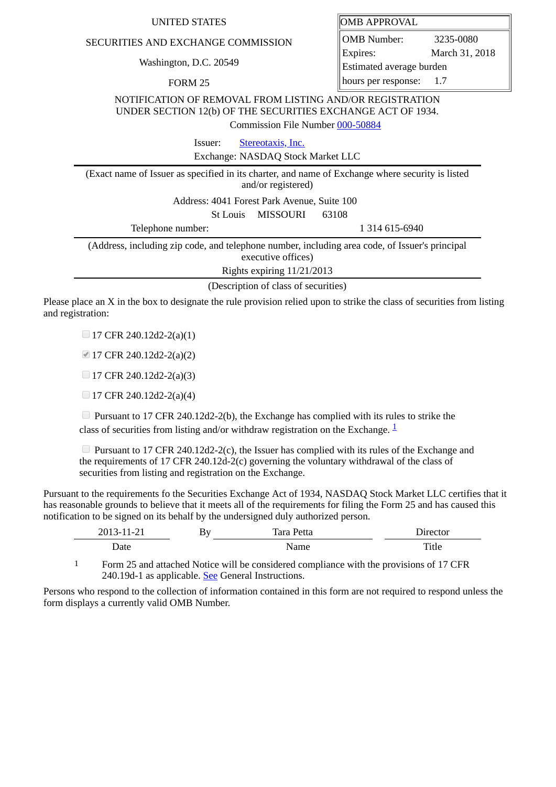## SECURITIES AND EXCHANGE COMMISSION

Washington, D.C. 20549

FORM 25

| UNITED STATES | <b>OMB APPROVAL</b> |
|---------------|---------------------|
|---------------|---------------------|

OMB Number: 3235-0080 Expires: March 31, 2018 Estimated average burden hours per response: 1.7

NOTIFICATION OF REMOVAL FROM LISTING AND/OR REGISTRATION UNDER SECTION 12(b) OF THE SECURITIES EXCHANGE ACT OF 1934.

Commission File Number [000-50884](file:///cgi-bin/browse-edgar?action=getcompany&filenum=000-50884)

Issuer: [Stereotaxis, Inc.](http://www.sec.gov/cgi-bin/browse-edgar?action=getcompany&CIK=0001289340)

Exchange: NASDAQ Stock Market LLC

(Exact name of Issuer as specified in its charter, and name of Exchange where security is listed and/or registered) Address: 4041 Forest Park Avenue, Suite 100 St Louis MISSOURI 63108 Telephone number: 1 314 615-6940 (Address, including zip code, and telephone number, including area code, of Issuer's principal executive offices)

Rights expiring 11/21/2013

(Description of class of securities)

Please place an X in the box to designate the rule provision relied upon to strike the class of securities from listing and registration:

 $\Box$  17 CFR 240.12d2-2(a)(1)

17 CFR 240.12d2-2(a)(2)

 $\Box$  17 CFR 240.12d2-2(a)(3)

 $\Box$  17 CFR 240.12d2-2(a)(4)

 $\Box$  Pursuant to 17 CFR 240.12d2-2(b), the Exchange has complied with its rules to strike the class of securities from listing and/or withdraw registration on the Exchange.  $\frac{1}{2}$  $\frac{1}{2}$  $\frac{1}{2}$ 

Pursuant to 17 CFR 240.12d2-2(c), the Issuer has complied with its rules of the Exchange and the requirements of 17 CFR 240.12d-2(c) governing the voluntary withdrawal of the class of securities from listing and registration on the Exchange.

Pursuant to the requirements fo the Securities Exchange Act of 1934, NASDAQ Stock Market LLC certifies that it has reasonable grounds to believe that it meets all of the requirements for filing the Form 25 and has caused this notification to be signed on its behalf by the undersigned duly authorized person.

| . .                      | <u>. .</u> . | $T_{\alpha\mu\alpha}$ . | $1.4887 + 0.5$ |
|--------------------------|--------------|-------------------------|----------------|
| ∼-                       | ມ⊻           | τιια                    |                |
| $\overline{\phantom{0}}$ |              | ιαια                    |                |
| )ate                     |              | vallit                  | Ē              |

<span id="page-0-0"></span>1 Form 25 and attached Notice will be considered compliance with the provisions of 17 CFR 240.19d-1 as applicable. See General Instructions.

Persons who respond to the collection of information contained in this form are not required to respond unless the form displays a currently valid OMB Number.